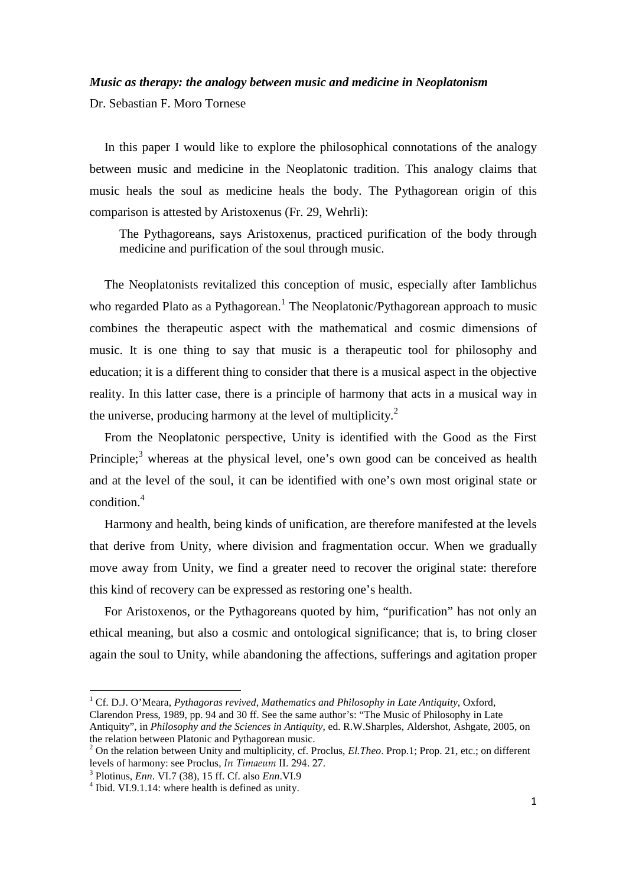## *Music as therapy: the analogy between music and medicine in Neoplatonism*

Dr. Sebastian F. Moro Tornese

In this paper I would like to explore the philosophical connotations of the analogy between music and medicine in the Neoplatonic tradition. This analogy claims that music heals the soul as medicine heals the body. The Pythagorean origin of this comparison is attested by Aristoxenus (Fr. 29, Wehrli):

The Pythagoreans, says Aristoxenus, practiced purification of the body through medicine and purification of the soul through music.

The Neoplatonists revitalized this conception of music, especially after Iamblichus who regarded Plato as a Pythagorean.<sup>1</sup> The Neoplatonic/Pythagorean approach to music combines the therapeutic aspect with the mathematical and cosmic dimensions of music. It is one thing to say that music is a therapeutic tool for philosophy and education; it is a different thing to consider that there is a musical aspect in the objective reality. In this latter case, there is a principle of harmony that acts in a musical way in the universe, producing harmony at the level of multiplicity. $2$ 

From the Neoplatonic perspective, Unity is identified with the Good as the First Principle;<sup>3</sup> whereas at the physical level, one's own good can be conceived as health and at the level of the soul, it can be identified with one's own most original state or condition.<sup>4</sup>

Harmony and health, being kinds of unification, are therefore manifested at the levels that derive from Unity, where division and fragmentation occur. When we gradually move away from Unity, we find a greater need to recover the original state: therefore this kind of recovery can be expressed as restoring one's health.

For Aristoxenos, or the Pythagoreans quoted by him, "purification" has not only an ethical meaning, but also a cosmic and ontological significance; that is, to bring closer again the soul to Unity, while abandoning the affections, sufferings and agitation proper

<sup>1</sup> Cf. D.J. O'Meara, *Pythagoras revived*, *Mathematics and Philosophy in Late Antiquity*, Oxford, Clarendon Press, 1989, pp. 94 and 30 ff. See the same author's: "The Music of Philosophy in Late

Antiquity", in *Philosophy and the Sciences in Antiquity*, ed. R.W.Sharples, Aldershot, Ashgate, 2005, on the relation between Platonic and Pythagorean music.

<sup>2</sup> On the relation between Unity and multiplicity, cf. Proclus, *El.Theo*. Prop.1; Prop. 21, etc.; on different levels of harmony: see Proclus, *In Timaeum* II. 294. 27.

<sup>3</sup> Plotinus, *Enn*. VI.7 (38), 15 ff. Cf. also *Enn*.VI.9

<sup>&</sup>lt;sup>4</sup> Ibid. VI.9.1.14: where health is defined as unity.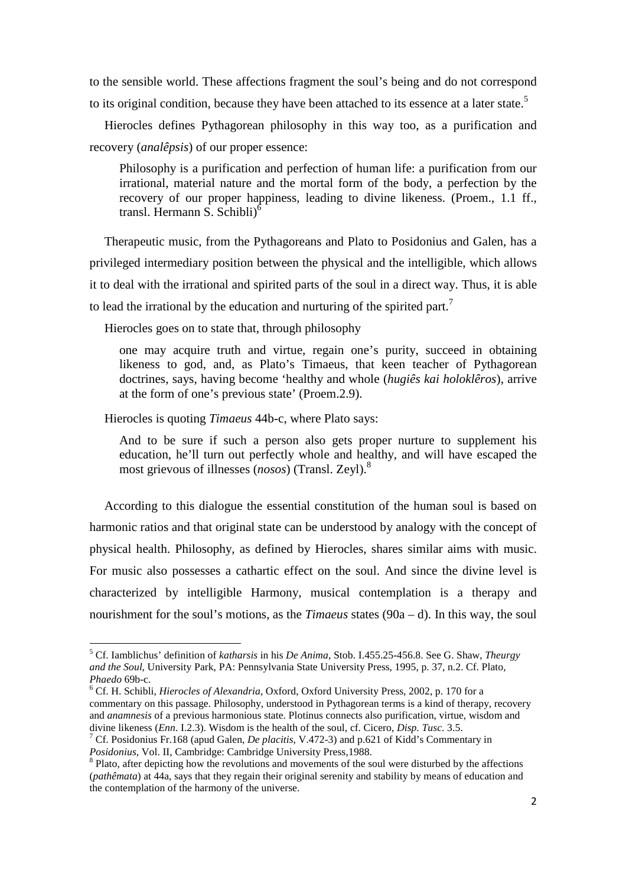to the sensible world. These affections fragment the soul's being and do not correspond to its original condition, because they have been attached to its essence at a later state.<sup>5</sup>

Hierocles defines Pythagorean philosophy in this way too, as a purification and recovery (*analêpsis*) of our proper essence:

Philosophy is a purification and perfection of human life: a purification from our irrational, material nature and the mortal form of the body, a perfection by the recovery of our proper happiness, leading to divine likeness. (Proem., 1.1 ff., transl. Hermann S. Schibli<sup>6</sup>

Therapeutic music, from the Pythagoreans and Plato to Posidonius and Galen, has a privileged intermediary position between the physical and the intelligible, which allows it to deal with the irrational and spirited parts of the soul in a direct way. Thus, it is able to lead the irrational by the education and nurturing of the spirited part.<sup>7</sup>

Hierocles goes on to state that, through philosophy

one may acquire truth and virtue, regain one's purity, succeed in obtaining likeness to god, and, as Plato's Timaeus, that keen teacher of Pythagorean doctrines, says, having become 'healthy and whole (*hugiês kai holoklêros*), arrive at the form of one's previous state' (Proem.2.9).

Hierocles is quoting *Timaeus* 44b-c, where Plato says:

 $\overline{a}$ 

And to be sure if such a person also gets proper nurture to supplement his education, he'll turn out perfectly whole and healthy, and will have escaped the most grievous of illnesses (*nosos*) (Transl. Zeyl).<sup>8</sup>

According to this dialogue the essential constitution of the human soul is based on harmonic ratios and that original state can be understood by analogy with the concept of physical health. Philosophy, as defined by Hierocles, shares similar aims with music. For music also possesses a cathartic effect on the soul. And since the divine level is characterized by intelligible Harmony, musical contemplation is a therapy and nourishment for the soul's motions, as the *Timaeus* states (90a – d). In this way, the soul

<sup>5</sup> Cf. Iamblichus' definition of *katharsis* in his *De Anima*, Stob. I.455.25-456.8. See G. Shaw, *Theurgy and the Soul*, University Park, PA: Pennsylvania State University Press, 1995, p. 37, n.2. Cf. Plato, *Phaedo* 69b-c.

<sup>6</sup> Cf. H. Schibli, *Hierocles of Alexandria*, Oxford, Oxford University Press, 2002, p. 170 for a commentary on this passage. Philosophy, understood in Pythagorean terms is a kind of therapy, recovery and *anamnesis* of a previous harmonious state. Plotinus connects also purification, virtue, wisdom and divine likeness (*Enn*. I.2.3). Wisdom is the health of the soul, cf. Cicero, *Disp. Tusc*. 3.5.

<sup>7</sup> Cf. Posidonius Fr.168 (apud Galen, *De placitis*, V.472-3) and p.621 of Kidd's Commentary in *Posidonius*, Vol. II, Cambridge: Cambridge University Press,1988.

<sup>&</sup>lt;sup>8</sup> Plato, after depicting how the revolutions and movements of the soul were disturbed by the affections (*pathêmata*) at 44a, says that they regain their original serenity and stability by means of education and the contemplation of the harmony of the universe.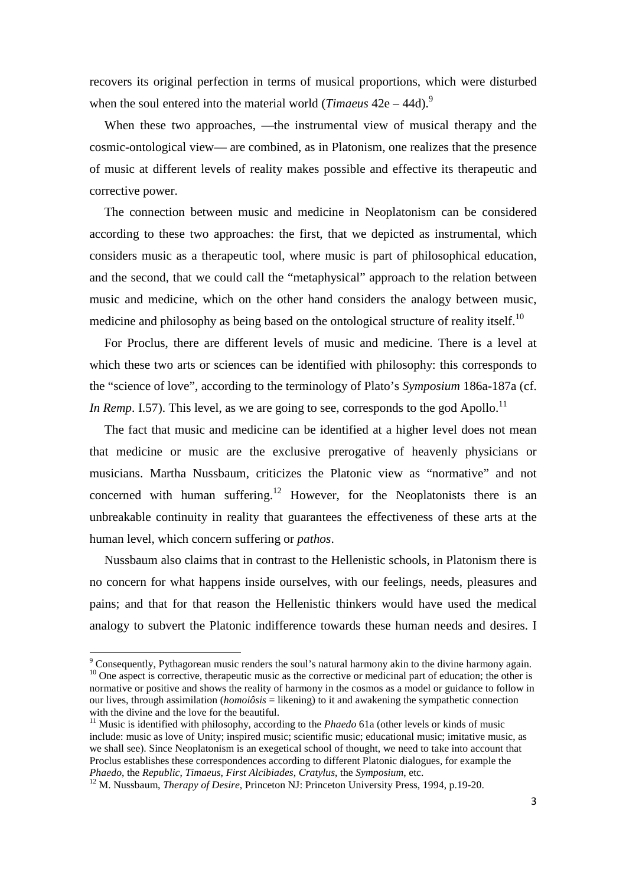recovers its original perfection in terms of musical proportions, which were disturbed when the soul entered into the material world (*Timaeus*  $42e - 44d$ ).<sup>9</sup>

When these two approaches, —the instrumental view of musical therapy and the cosmic-ontological view— are combined, as in Platonism, one realizes that the presence of music at different levels of reality makes possible and effective its therapeutic and corrective power.

The connection between music and medicine in Neoplatonism can be considered according to these two approaches: the first, that we depicted as instrumental, which considers music as a therapeutic tool, where music is part of philosophical education, and the second, that we could call the "metaphysical" approach to the relation between music and medicine, which on the other hand considers the analogy between music, medicine and philosophy as being based on the ontological structure of reality itself.<sup>10</sup>

For Proclus, there are different levels of music and medicine. There is a level at which these two arts or sciences can be identified with philosophy: this corresponds to the "science of love", according to the terminology of Plato's *Symposium* 186a-187a (cf. *In Remp.* I.57). This level, as we are going to see, corresponds to the god Apollo.<sup>11</sup>

The fact that music and medicine can be identified at a higher level does not mean that medicine or music are the exclusive prerogative of heavenly physicians or musicians. Martha Nussbaum, criticizes the Platonic view as "normative" and not concerned with human suffering.<sup>12</sup> However, for the Neoplatonists there is an unbreakable continuity in reality that guarantees the effectiveness of these arts at the human level, which concern suffering or *pathos*.

Nussbaum also claims that in contrast to the Hellenistic schools, in Platonism there is no concern for what happens inside ourselves, with our feelings, needs, pleasures and pains; and that for that reason the Hellenistic thinkers would have used the medical analogy to subvert the Platonic indifference towards these human needs and desires. I

l

<sup>&</sup>lt;sup>9</sup> Consequently, Pythagorean music renders the soul's natural harmony akin to the divine harmony again. <sup>10</sup> One aspect is corrective, therapeutic music as the corrective or medicinal part of education; the other is normative or positive and shows the reality of harmony in the cosmos as a model or guidance to follow in our lives, through assimilation (*homoiôsis* = likening) to it and awakening the sympathetic connection with the divine and the love for the beautiful.

<sup>&</sup>lt;sup>11</sup> Music is identified with philosophy, according to the *Phaedo* 61a (other levels or kinds of music include: music as love of Unity; inspired music; scientific music; educational music; imitative music, as we shall see). Since Neoplatonism is an exegetical school of thought, we need to take into account that Proclus establishes these correspondences according to different Platonic dialogues, for example the *Phaedo*, the *Republic*, *Timaeus*, *First Alcibiades*, *Cratylus*, the *Symposium*, etc.

<sup>&</sup>lt;sup>12</sup> M. Nussbaum, *Therapy of Desire*, Princeton NJ: Princeton University Press, 1994, p.19-20.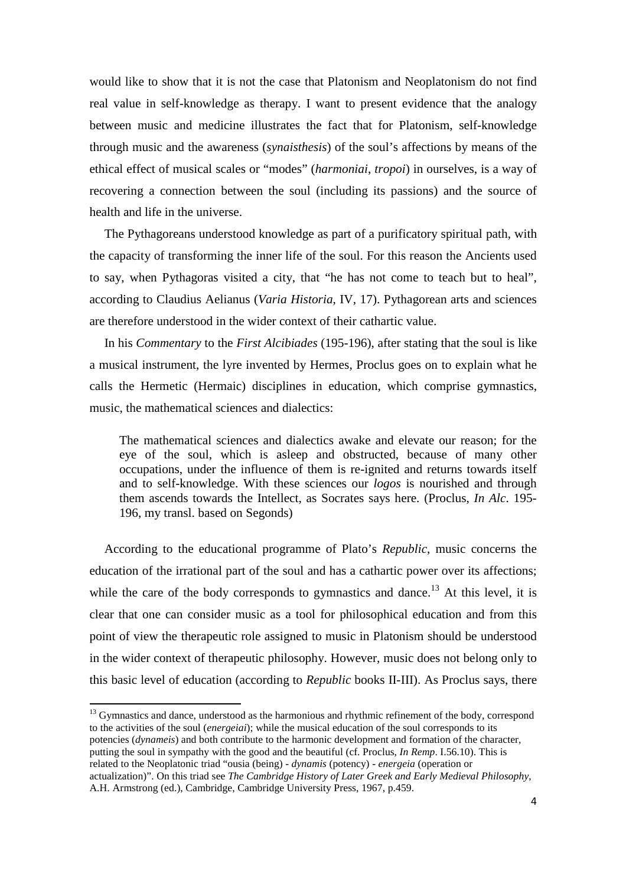would like to show that it is not the case that Platonism and Neoplatonism do not find real value in self-knowledge as therapy. I want to present evidence that the analogy between music and medicine illustrates the fact that for Platonism, self-knowledge through music and the awareness (*synaisthesis*) of the soul's affections by means of the ethical effect of musical scales or "modes" (*harmoniai*, *tropoi*) in ourselves, is a way of recovering a connection between the soul (including its passions) and the source of health and life in the universe.

The Pythagoreans understood knowledge as part of a purificatory spiritual path, with the capacity of transforming the inner life of the soul. For this reason the Ancients used to say, when Pythagoras visited a city, that "he has not come to teach but to heal", according to Claudius Aelianus (*Varia Historia*, IV, 17). Pythagorean arts and sciences are therefore understood in the wider context of their cathartic value.

In his *Commentary* to the *First Alcibiades* (195-196), after stating that the soul is like a musical instrument, the lyre invented by Hermes, Proclus goes on to explain what he calls the Hermetic (Hermaic) disciplines in education, which comprise gymnastics, music, the mathematical sciences and dialectics:

The mathematical sciences and dialectics awake and elevate our reason; for the eye of the soul, which is asleep and obstructed, because of many other occupations, under the influence of them is re-ignited and returns towards itself and to self-knowledge. With these sciences our *logos* is nourished and through them ascends towards the Intellect, as Socrates says here. (Proclus, *In Alc*. 195- 196, my transl. based on Segonds)

According to the educational programme of Plato's *Republic*, music concerns the education of the irrational part of the soul and has a cathartic power over its affections; while the care of the body corresponds to gymnastics and dance.<sup>13</sup> At this level, it is clear that one can consider music as a tool for philosophical education and from this point of view the therapeutic role assigned to music in Platonism should be understood in the wider context of therapeutic philosophy. However, music does not belong only to this basic level of education (according to *Republic* books II-III). As Proclus says, there

<sup>13</sup> Gymnastics and dance, understood as the harmonious and rhythmic refinement of the body, correspond to the activities of the soul (*energeiai*); while the musical education of the soul corresponds to its potencies (*dynameis*) and both contribute to the harmonic development and formation of the character, putting the soul in sympathy with the good and the beautiful (cf. Proclus, *In Remp*. I.56.10). This is related to the Neoplatonic triad "ousia (being) - *dynamis* (potency) - *energeia* (operation or actualization)". On this triad see *The Cambridge History of Later Greek and Early Medieval Philosophy*, A.H. Armstrong (ed.), Cambridge, Cambridge University Press, 1967, p.459.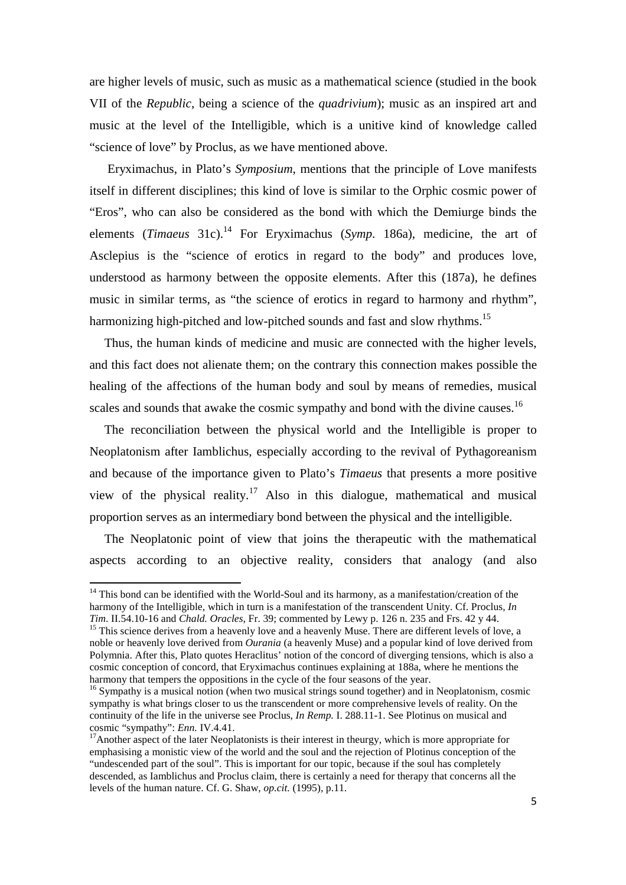are higher levels of music, such as music as a mathematical science (studied in the book VII of the *Republic*, being a science of the *quadrivium*); music as an inspired art and music at the level of the Intelligible, which is a unitive kind of knowledge called "science of love" by Proclus, as we have mentioned above.

 Eryximachus, in Plato's *Symposium*, mentions that the principle of Love manifests itself in different disciplines; this kind of love is similar to the Orphic cosmic power of "Eros", who can also be considered as the bond with which the Demiurge binds the elements (*Timaeus* 31c).<sup>14</sup> For Eryximachus (*Symp.* 186a), medicine, the art of Asclepius is the "science of erotics in regard to the body" and produces love, understood as harmony between the opposite elements. After this (187a), he defines music in similar terms, as "the science of erotics in regard to harmony and rhythm", harmonizing high-pitched and low-pitched sounds and fast and slow rhythms.<sup>15</sup>

Thus, the human kinds of medicine and music are connected with the higher levels, and this fact does not alienate them; on the contrary this connection makes possible the healing of the affections of the human body and soul by means of remedies, musical scales and sounds that awake the cosmic sympathy and bond with the divine causes.<sup>16</sup>

The reconciliation between the physical world and the Intelligible is proper to Neoplatonism after Iamblichus, especially according to the revival of Pythagoreanism and because of the importance given to Plato's *Timaeus* that presents a more positive view of the physical reality.<sup>17</sup> Also in this dialogue, mathematical and musical proportion serves as an intermediary bond between the physical and the intelligible.

The Neoplatonic point of view that joins the therapeutic with the mathematical aspects according to an objective reality, considers that analogy (and also

<sup>&</sup>lt;sup>14</sup> This bond can be identified with the World-Soul and its harmony, as a manifestation/creation of the harmony of the Intelligible, which in turn is a manifestation of the transcendent Unity. Cf. Proclus, *In Tim*. II.54.10-16 and *Chald. Oracles*, Fr. 39; commented by Lewy p. 126 n. 235 and Frs. 42 y 44.

<sup>&</sup>lt;sup>15</sup> This science derives from a heavenly love and a heavenly Muse. There are different levels of love, a noble or heavenly love derived from *Ourania* (a heavenly Muse) and a popular kind of love derived from Polymnia. After this, Plato quotes Heraclitus' notion of the concord of diverging tensions, which is also a cosmic conception of concord, that Eryximachus continues explaining at 188a, where he mentions the harmony that tempers the oppositions in the cycle of the four seasons of the year.

<sup>&</sup>lt;sup>16</sup> Sympathy is a musical notion (when two musical strings sound together) and in Neoplatonism, cosmic sympathy is what brings closer to us the transcendent or more comprehensive levels of reality. On the continuity of the life in the universe see Proclus, *In Remp.* I. 288.11-1. See Plotinus on musical and cosmic "sympathy": *Enn.* IV.4.41.

<sup>&</sup>lt;sup>17</sup>Another aspect of the later Neoplatonists is their interest in theurgy, which is more appropriate for emphasising a monistic view of the world and the soul and the rejection of Plotinus conception of the "undescended part of the soul". This is important for our topic, because if the soul has completely descended, as Iamblichus and Proclus claim, there is certainly a need for therapy that concerns all the levels of the human nature. Cf. G. Shaw, *op.cit.* (1995), p.11.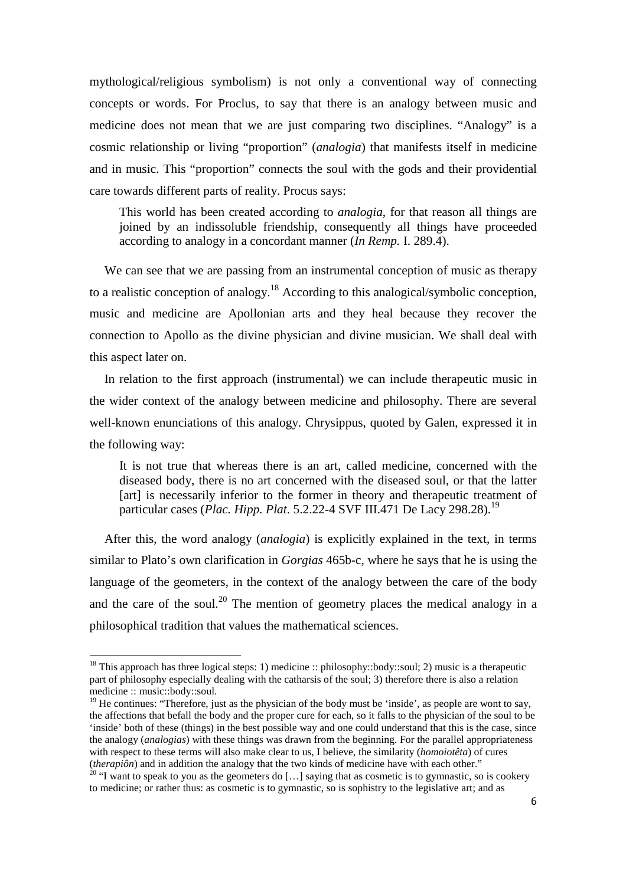mythological/religious symbolism) is not only a conventional way of connecting concepts or words. For Proclus, to say that there is an analogy between music and medicine does not mean that we are just comparing two disciplines. "Analogy" is a cosmic relationship or living "proportion" (*analogia*) that manifests itself in medicine and in music. This "proportion" connects the soul with the gods and their providential care towards different parts of reality. Procus says:

This world has been created according to *analogia*, for that reason all things are joined by an indissoluble friendship, consequently all things have proceeded according to analogy in a concordant manner (*In Remp.* I. 289.4).

We can see that we are passing from an instrumental conception of music as therapy to a realistic conception of analogy.<sup>18</sup> According to this analogical/symbolic conception. music and medicine are Apollonian arts and they heal because they recover the connection to Apollo as the divine physician and divine musician. We shall deal with this aspect later on.

In relation to the first approach (instrumental) we can include therapeutic music in the wider context of the analogy between medicine and philosophy. There are several well-known enunciations of this analogy. Chrysippus, quoted by Galen, expressed it in the following way:

It is not true that whereas there is an art, called medicine, concerned with the diseased body, there is no art concerned with the diseased soul, or that the latter [art] is necessarily inferior to the former in theory and therapeutic treatment of particular cases (*Plac. Hipp. Plat*. 5.2.22-4 SVF III.471 De Lacy 298.28).<sup>19</sup>

After this, the word analogy (*analogia*) is explicitly explained in the text, in terms similar to Plato's own clarification in *Gorgias* 465b-c, where he says that he is using the language of the geometers, in the context of the analogy between the care of the body and the care of the soul.<sup>20</sup> The mention of geometry places the medical analogy in a philosophical tradition that values the mathematical sciences.

l

<sup>&</sup>lt;sup>18</sup> This approach has three logical steps: 1) medicine :: philosophy::body::soul; 2) music is a therapeutic part of philosophy especially dealing with the catharsis of the soul; 3) therefore there is also a relation medicine :: music::body::soul.

 $19$  He continues: "Therefore, just as the physician of the body must be 'inside', as people are wont to say, the affections that befall the body and the proper cure for each, so it falls to the physician of the soul to be 'inside' both of these (things) in the best possible way and one could understand that this is the case, since the analogy (*analogias*) with these things was drawn from the beginning. For the parallel appropriateness with respect to these terms will also make clear to us, I believe, the similarity (*homoiotêta*) of cures (*therapiôn*) and in addition the analogy that the two kinds of medicine have with each other."

 $20$  "I want to speak to you as the geometers do [...] saying that as cosmetic is to gymnastic, so is cookery to medicine; or rather thus: as cosmetic is to gymnastic, so is sophistry to the legislative art; and as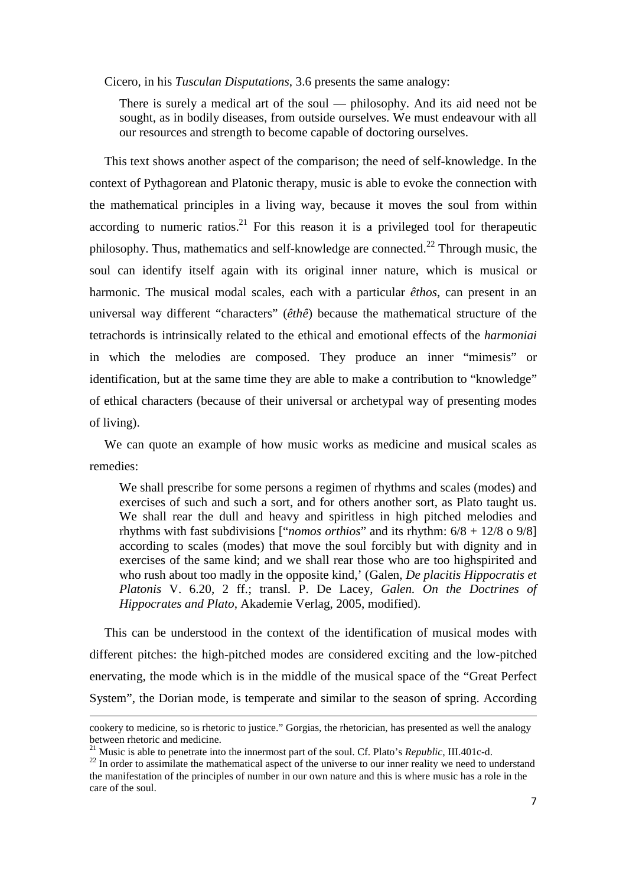Cicero, in his *Tusculan Disputations*, 3.6 presents the same analogy:

There is surely a medical art of the soul — philosophy. And its aid need not be sought, as in bodily diseases, from outside ourselves. We must endeavour with all our resources and strength to become capable of doctoring ourselves.

This text shows another aspect of the comparison; the need of self-knowledge. In the context of Pythagorean and Platonic therapy, music is able to evoke the connection with the mathematical principles in a living way, because it moves the soul from within according to numeric ratios.<sup>21</sup> For this reason it is a privileged tool for therapeutic philosophy. Thus, mathematics and self-knowledge are connected.<sup>22</sup> Through music, the soul can identify itself again with its original inner nature, which is musical or harmonic. The musical modal scales, each with a particular *êthos*, can present in an universal way different "characters" (*êthê*) because the mathematical structure of the tetrachords is intrinsically related to the ethical and emotional effects of the *harmoniai* in which the melodies are composed. They produce an inner "mimesis" or identification, but at the same time they are able to make a contribution to "knowledge" of ethical characters (because of their universal or archetypal way of presenting modes of living).

We can quote an example of how music works as medicine and musical scales as remedies:

We shall prescribe for some persons a regimen of rhythms and scales (modes) and exercises of such and such a sort, and for others another sort, as Plato taught us. We shall rear the dull and heavy and spiritless in high pitched melodies and rhythms with fast subdivisions ["*nomos orthios*" and its rhythm: 6/8 + 12/8 o 9/8] according to scales (modes) that move the soul forcibly but with dignity and in exercises of the same kind; and we shall rear those who are too highspirited and who rush about too madly in the opposite kind,' (Galen, *De placitis Hippocratis et Platonis* V. 6.20, 2 ff.; transl. P. De Lacey, *Galen. On the Doctrines of Hippocrates and Plato*, Akademie Verlag, 2005, modified).

This can be understood in the context of the identification of musical modes with different pitches: the high-pitched modes are considered exciting and the low-pitched enervating, the mode which is in the middle of the musical space of the "Great Perfect System", the Dorian mode, is temperate and similar to the season of spring. According

cookery to medicine, so is rhetoric to justice." Gorgias, the rhetorician, has presented as well the analogy between rhetoric and medicine.

<sup>21</sup> Music is able to penetrate into the innermost part of the soul. Cf. Plato's *Republic*, III.401c-d.

<sup>&</sup>lt;sup>22</sup> In order to assimilate the mathematical aspect of the universe to our inner reality we need to understand the manifestation of the principles of number in our own nature and this is where music has a role in the care of the soul.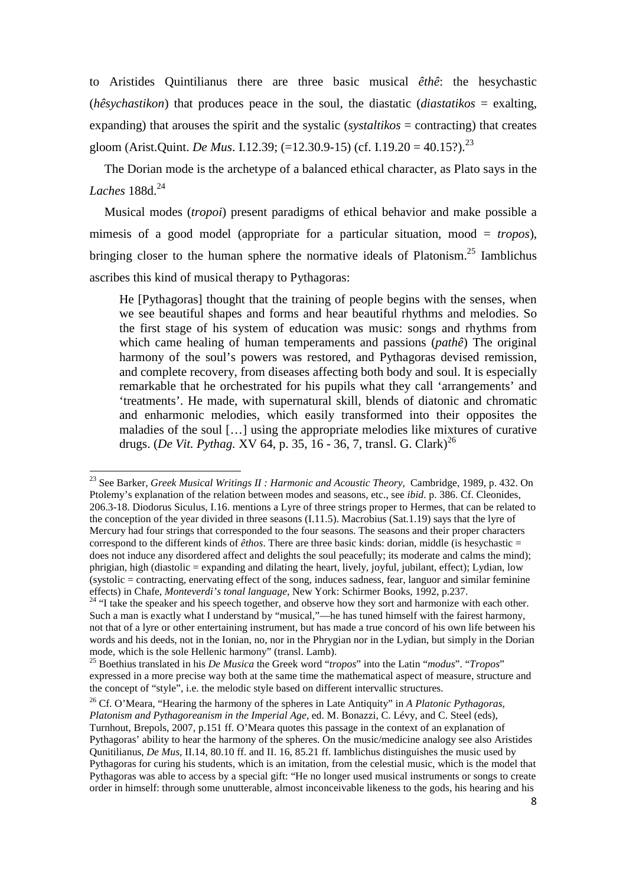to Aristides Quintilianus there are three basic musical *êthê*: the hesychastic (*hêsychastikon*) that produces peace in the soul, the diastatic (*diastatikos* = exalting, expanding) that arouses the spirit and the systalic (*systaltikos* = contracting) that creates gloom (Arist.Quint. *De Mus*. I.12.39; (=12.30.9-15) (cf. I.19.20 = 40.15?).<sup>23</sup>

The Dorian mode is the archetype of a balanced ethical character, as Plato says in the *Laches* 188d.<sup>24</sup>

Musical modes (*tropoi*) present paradigms of ethical behavior and make possible a mimesis of a good model (appropriate for a particular situation, mood = *tropos*), bringing closer to the human sphere the normative ideals of Platonism.<sup>25</sup> Iamblichus ascribes this kind of musical therapy to Pythagoras:

He [Pythagoras] thought that the training of people begins with the senses, when we see beautiful shapes and forms and hear beautiful rhythms and melodies. So the first stage of his system of education was music: songs and rhythms from which came healing of human temperaments and passions (*pathê*) The original harmony of the soul's powers was restored, and Pythagoras devised remission, and complete recovery, from diseases affecting both body and soul. It is especially remarkable that he orchestrated for his pupils what they call 'arrangements' and 'treatments'. He made, with supernatural skill, blends of diatonic and chromatic and enharmonic melodies, which easily transformed into their opposites the maladies of the soul […] using the appropriate melodies like mixtures of curative drugs. (*De Vit. Pythag. XV* 64, p. 35, 16 - 36, 7, transl. G. Clark)<sup>26</sup>

l

<sup>23</sup> See Barker, *Greek Musical Writings II : Harmonic and Acoustic Theory*, Cambridge, 1989, p. 432. On Ptolemy's explanation of the relation between modes and seasons, etc., see *ibid*. p. 386. Cf. Cleonides, 206.3-18. Diodorus Siculus, I.16. mentions a Lyre of three strings proper to Hermes, that can be related to the conception of the year divided in three seasons (I.11.5). Macrobius (Sat.1.19) says that the lyre of Mercury had four strings that corresponded to the four seasons. The seasons and their proper characters correspond to the different kinds of *êthos*. There are three basic kinds: dorian, middle (is hesychastic = does not induce any disordered affect and delights the soul peacefully; its moderate and calms the mind); phrigian, high (diastolic = expanding and dilating the heart, lively, joyful, jubilant, effect); Lydian, low (systolic = contracting, enervating effect of the song, induces sadness, fear, languor and similar feminine effects) in Chafe, *Monteverdi's tonal language*, New York: Schirmer Books, 1992, p.237.

<sup>&</sup>lt;sup>24</sup> "I take the speaker and his speech together, and observe how they sort and harmonize with each other. Such a man is exactly what I understand by "musical,"—he has tuned himself with the fairest harmony, not that of a lyre or other entertaining instrument, but has made a true concord of his own life between his words and his deeds, not in the Ionian, no, nor in the Phrygian nor in the Lydian, but simply in the Dorian mode, which is the sole Hellenic harmony" (transl. Lamb).

<sup>25</sup> Boethius translated in his *De Musica* the Greek word "*tropos*" into the Latin "*modus*". "*Tropos*" expressed in a more precise way both at the same time the mathematical aspect of measure, structure and the concept of "style", i.e. the melodic style based on different intervallic structures.

<sup>26</sup> Cf. O'Meara, "Hearing the harmony of the spheres in Late Antiquity" in *A Platonic Pythagoras, Platonism and Pythagoreanism in the Imperial Age*, ed. M. Bonazzi, C. Lévy, and C. Steel (eds), Turnhout, Brepols, 2007, p.151 ff. O'Meara quotes this passage in the context of an explanation of Pythagoras' ability to hear the harmony of the spheres. On the music/medicine analogy see also Aristides Qunitilianus, *De Mus*, II.14, 80.10 ff. and II. 16, 85.21 ff. Iamblichus distinguishes the music used by Pythagoras for curing his students, which is an imitation, from the celestial music, which is the model that Pythagoras was able to access by a special gift: "He no longer used musical instruments or songs to create order in himself: through some unutterable, almost inconceivable likeness to the gods, his hearing and his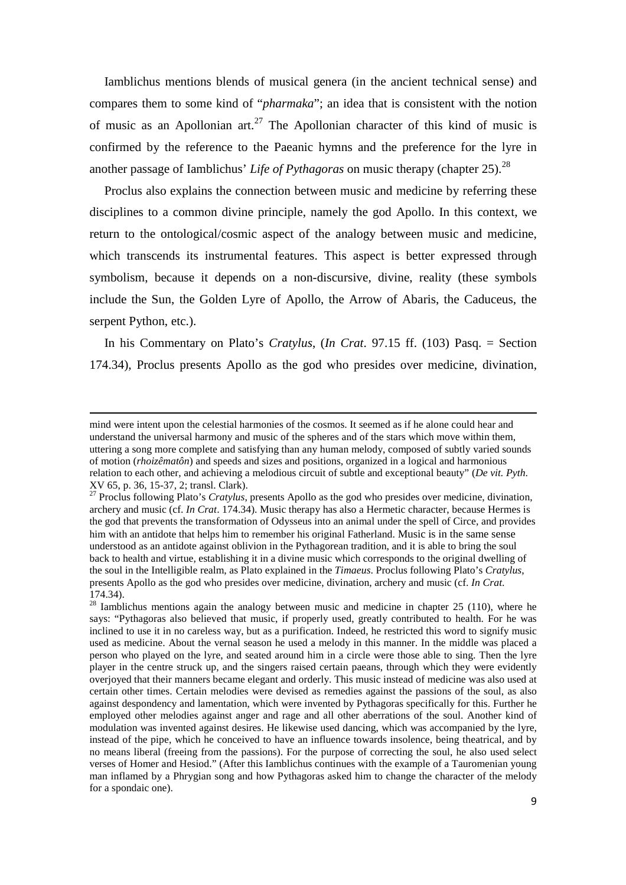Iamblichus mentions blends of musical genera (in the ancient technical sense) and compares them to some kind of "*pharmaka*"; an idea that is consistent with the notion of music as an Apollonian art.<sup>27</sup> The Apollonian character of this kind of music is confirmed by the reference to the Paeanic hymns and the preference for the lyre in another passage of Iamblichus' *Life of Pythagoras* on music therapy (chapter 25).<sup>28</sup>

Proclus also explains the connection between music and medicine by referring these disciplines to a common divine principle, namely the god Apollo. In this context, we return to the ontological/cosmic aspect of the analogy between music and medicine, which transcends its instrumental features. This aspect is better expressed through symbolism, because it depends on a non-discursive, divine, reality (these symbols include the Sun, the Golden Lyre of Apollo, the Arrow of Abaris, the Caduceus, the serpent Python, etc.).

In his Commentary on Plato's *Cratylus*, (*In Crat*. 97.15 ff. (103) Pasq. = Section 174.34), Proclus presents Apollo as the god who presides over medicine, divination,

mind were intent upon the celestial harmonies of the cosmos. It seemed as if he alone could hear and understand the universal harmony and music of the spheres and of the stars which move within them, uttering a song more complete and satisfying than any human melody, composed of subtly varied sounds of motion (*rhoizêmatôn*) and speeds and sizes and positions, organized in a logical and harmonious relation to each other, and achieving a melodious circuit of subtle and exceptional beauty" (*De vit. Pyth*. XV 65, p. 36, 15-37, 2; transl. Clark).

<sup>&</sup>lt;sup>27</sup> Proclus following Plato's *Cratylus*, presents Apollo as the god who presides over medicine, divination, archery and music (cf. *In Crat*. 174.34). Music therapy has also a Hermetic character, because Hermes is the god that prevents the transformation of Odysseus into an animal under the spell of Circe, and provides him with an antidote that helps him to remember his original Fatherland. Music is in the same sense understood as an antidote against oblivion in the Pythagorean tradition, and it is able to bring the soul back to health and virtue, establishing it in a divine music which corresponds to the original dwelling of the soul in the Intelligible realm, as Plato explained in the *Timaeus*. Proclus following Plato's *Cratylus*, presents Apollo as the god who presides over medicine, divination, archery and music (cf. *In Crat*. 174.34).

 $28$  Iamblichus mentions again the analogy between music and medicine in chapter 25 (110), where he says: "Pythagoras also believed that music, if properly used, greatly contributed to health. For he was inclined to use it in no careless way, but as a purification. Indeed, he restricted this word to signify music used as medicine. About the vernal season he used a melody in this manner. In the middle was placed a person who played on the lyre, and seated around him in a circle were those able to sing. Then the lyre player in the centre struck up, and the singers raised certain paeans, through which they were evidently overjoyed that their manners became elegant and orderly. This music instead of medicine was also used at certain other times. Certain melodies were devised as remedies against the passions of the soul, as also against despondency and lamentation, which were invented by Pythagoras specifically for this. Further he employed other melodies against anger and rage and all other aberrations of the soul. Another kind of modulation was invented against desires. He likewise used dancing, which was accompanied by the lyre, instead of the pipe, which he conceived to have an influence towards insolence, being theatrical, and by no means liberal (freeing from the passions). For the purpose of correcting the soul, he also used select verses of Homer and Hesiod." (After this Iamblichus continues with the example of a Tauromenian young man inflamed by a Phrygian song and how Pythagoras asked him to change the character of the melody for a spondaic one).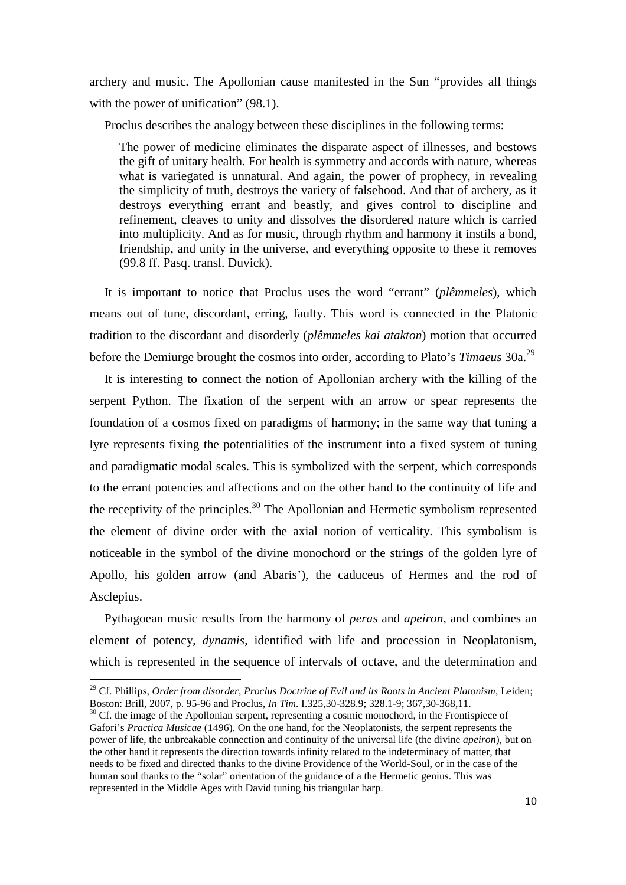archery and music. The Apollonian cause manifested in the Sun "provides all things with the power of unification" (98.1).

Proclus describes the analogy between these disciplines in the following terms:

The power of medicine eliminates the disparate aspect of illnesses, and bestows the gift of unitary health. For health is symmetry and accords with nature, whereas what is variegated is unnatural. And again, the power of prophecy, in revealing the simplicity of truth, destroys the variety of falsehood. And that of archery, as it destroys everything errant and beastly, and gives control to discipline and refinement, cleaves to unity and dissolves the disordered nature which is carried into multiplicity. And as for music, through rhythm and harmony it instils a bond, friendship, and unity in the universe, and everything opposite to these it removes (99.8 ff. Pasq. transl. Duvick).

It is important to notice that Proclus uses the word "errant" (*plêmmeles*), which means out of tune, discordant, erring, faulty. This word is connected in the Platonic tradition to the discordant and disorderly (*plêmmeles kai atakton*) motion that occurred before the Demiurge brought the cosmos into order, according to Plato's *Timaeus* 30a.<sup>29</sup>

It is interesting to connect the notion of Apollonian archery with the killing of the serpent Python. The fixation of the serpent with an arrow or spear represents the foundation of a cosmos fixed on paradigms of harmony; in the same way that tuning a lyre represents fixing the potentialities of the instrument into a fixed system of tuning and paradigmatic modal scales. This is symbolized with the serpent, which corresponds to the errant potencies and affections and on the other hand to the continuity of life and the receptivity of the principles.<sup>30</sup> The Apollonian and Hermetic symbolism represented the element of divine order with the axial notion of verticality. This symbolism is noticeable in the symbol of the divine monochord or the strings of the golden lyre of Apollo, his golden arrow (and Abaris'), the caduceus of Hermes and the rod of Asclepius.

Pythagoean music results from the harmony of *peras* and *apeiron*, and combines an element of potency, *dynamis*, identified with life and procession in Neoplatonism, which is represented in the sequence of intervals of octave, and the determination and

<sup>29</sup> Cf. Phillips, *Order from disorder, Proclus Doctrine of Evil and its Roots in Ancient Platonism*, Leiden; Boston: Brill, 2007, p. 95-96 and Proclus, *In Tim*. I.325,30-328.9; 328.1-9; 367,30-368,11.

 $30$  Cf. the image of the Apollonian serpent, representing a cosmic monochord, in the Frontispiece of Gafori's *Practica Musicae* (1496). On the one hand, for the Neoplatonists, the serpent represents the power of life, the unbreakable connection and continuity of the universal life (the divine *apeiron*), but on the other hand it represents the direction towards infinity related to the indeterminacy of matter, that needs to be fixed and directed thanks to the divine Providence of the World-Soul, or in the case of the human soul thanks to the "solar" orientation of the guidance of a the Hermetic genius. This was represented in the Middle Ages with David tuning his triangular harp.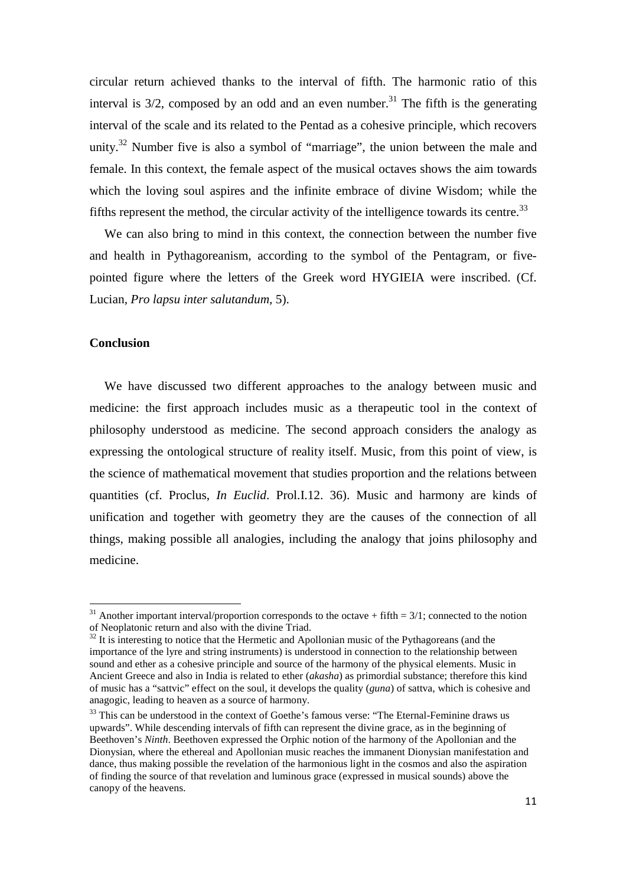circular return achieved thanks to the interval of fifth. The harmonic ratio of this interval is  $3/2$ , composed by an odd and an even number.<sup>31</sup> The fifth is the generating interval of the scale and its related to the Pentad as a cohesive principle, which recovers unity.<sup>32</sup> Number five is also a symbol of "marriage", the union between the male and female. In this context, the female aspect of the musical octaves shows the aim towards which the loving soul aspires and the infinite embrace of divine Wisdom; while the fifths represent the method, the circular activity of the intelligence towards its centre.<sup>33</sup>

We can also bring to mind in this context, the connection between the number five and health in Pythagoreanism, according to the symbol of the Pentagram, or fivepointed figure where the letters of the Greek word HYGIEIA were inscribed. (Cf. Lucian, *Pro lapsu inter salutandum*, 5).

## **Conclusion**

l

We have discussed two different approaches to the analogy between music and medicine: the first approach includes music as a therapeutic tool in the context of philosophy understood as medicine. The second approach considers the analogy as expressing the ontological structure of reality itself. Music, from this point of view, is the science of mathematical movement that studies proportion and the relations between quantities (cf. Proclus, *In Euclid*. Prol.I.12. 36). Music and harmony are kinds of unification and together with geometry they are the causes of the connection of all things, making possible all analogies, including the analogy that joins philosophy and medicine.

<sup>&</sup>lt;sup>31</sup> Another important interval/proportion corresponds to the octave + fifth =  $3/1$ ; connected to the notion of Neoplatonic return and also with the divine Triad.

 $32$  It is interesting to notice that the Hermetic and Apollonian music of the Pythagoreans (and the importance of the lyre and string instruments) is understood in connection to the relationship between sound and ether as a cohesive principle and source of the harmony of the physical elements. Music in Ancient Greece and also in India is related to ether (*akasha*) as primordial substance; therefore this kind of music has a "sattvic" effect on the soul, it develops the quality (*guna*) of sattva, which is cohesive and anagogic, leading to heaven as a source of harmony.

<sup>&</sup>lt;sup>33</sup> This can be understood in the context of Goethe's famous verse: "The Eternal-Feminine draws us upwards". While descending intervals of fifth can represent the divine grace, as in the beginning of Beethoven's *Ninth*. Beethoven expressed the Orphic notion of the harmony of the Apollonian and the Dionysian, where the ethereal and Apollonian music reaches the immanent Dionysian manifestation and dance, thus making possible the revelation of the harmonious light in the cosmos and also the aspiration of finding the source of that revelation and luminous grace (expressed in musical sounds) above the canopy of the heavens.